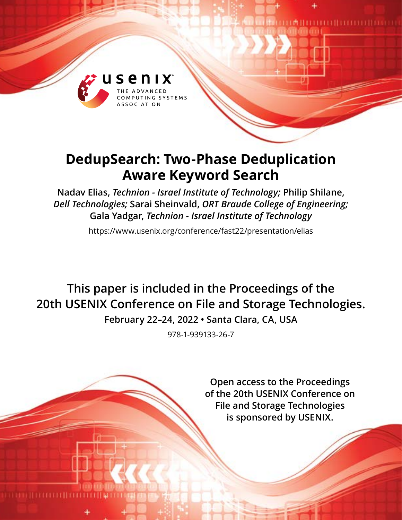

# **DedupSearch: Two-Phase Deduplication Aware Keyword Search**

**Nadav Elias,** *Technion - Israel Institute of Technology;* **Philip Shilane,**  *Dell Technologies;* **Sarai Sheinvald,** *ORT Braude College of Engineering;* **Gala Yadgar,** *Technion - Israel Institute of Technology*

https://www.usenix.org/conference/fast22/presentation/elias

**This paper is included in the Proceedings of the 20th USENIX Conference on File and Storage Technologies.**

**February 22–24, 2022 • Santa Clara, CA, USA**

978-1-939133-26-7

**Open access to the Proceedings of the 20th USENIX Conference on File and Storage Technologies is sponsored by USENIX.**

**DE LA BELLETTE DE LA BELLETTE DE LA BELLETTE DE LA BELLETTE DE LA BELLETTE DE LA BELLETTE DE LA BELLETTE DE LA**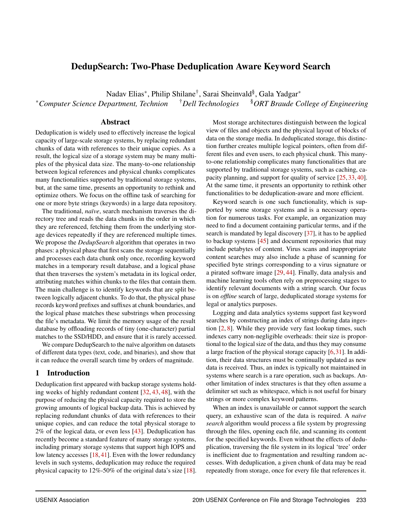## DedupSearch: Two-Phase Deduplication Aware Keyword Search

Nadav Elias\*, Philip Shilane<sup>†</sup>, Sarai Sheinvald<sup>§</sup>, Gala Yadgar\* <sup>∗</sup>*Computer Science Department, Technion* †*Dell Technologies* §*ORT Braude College of Engineering*

#### Abstract

Deduplication is widely used to effectively increase the logical capacity of large-scale storage systems, by replacing redundant chunks of data with references to their unique copies. As a result, the logical size of a storage system may be many multiples of the physical data size. The many-to-one relationship between logical references and physical chunks complicates many functionalities supported by traditional storage systems, but, at the same time, presents an opportunity to rethink and optimize others. We focus on the offline task of searching for one or more byte strings (keywords) in a large data repository.

The traditional, *naïve*, search mechanism traverses the directory tree and reads the data chunks in the order in which they are referenced, fetching them from the underlying storage devices repeatedly if they are referenced multiple times. We propose the *DedupSearch* algorithm that operates in two phases: a physical phase that first scans the storage sequentially and processes each data chunk only once, recording keyword matches in a temporary result database, and a logical phase that then traverses the system's metadata in its logical order, attributing matches within chunks to the files that contain them. The main challenge is to identify keywords that are split between logically adjacent chunks. To do that, the physical phase records keyword prefixes and suffixes at chunk boundaries, and the logical phase matches these substrings when processing the file's metadata. We limit the memory usage of the result database by offloading records of tiny (one-character) partial matches to the SSD/HDD, and ensure that it is rarely accessed.

We compare DedupSearch to the naïve algorithm on datasets of different data types (text, code, and binaries), and show that it can reduce the overall search time by orders of magnitude.

#### 1 Introduction

Deduplication first appeared with backup storage systems holding weeks of highly redundant content [\[32,](#page-14-0) [43,](#page-14-1) [48\]](#page-14-2), with the purpose of reducing the physical capacity required to store the growing amounts of logical backup data. This is achieved by replacing redundant chunks of data with references to their unique copies, and can reduce the total physical storage to 2% of the logical data, or even less [\[43\]](#page-14-1). Deduplication has recently become a standard feature of many storage systems, including primary storage systems that support high IOPS and low latency accesses [\[18,](#page-13-0) [41\]](#page-14-3). Even with the lower redundancy levels in such systems, deduplication may reduce the required physical capacity to 12%-50% of the original data's size [\[18\]](#page-13-0).

Most storage architectures distinguish between the logical view of files and objects and the physical layout of blocks of data on the storage media. In deduplicated storage, this distinction further creates multiple logical pointers, often from different files and even users, to each physical chunk. This manyto-one relationship complicates many functionalities that are supported by traditional storage systems, such as caching, capacity planning, and support for quality of service [\[25,](#page-13-1) [33,](#page-14-4) [40\]](#page-14-5). At the same time, it presents an opportunity to rethink other functionalities to be deduplication-aware and more efficient.

Keyword search is one such functionality, which is supported by some storage systems and is a necessary operation for numerous tasks. For example, an organization may need to find a document containing particular terms, and if the search is mandated by legal discovery [\[37\]](#page-14-6), it has to be applied to backup systems [\[45\]](#page-14-7) and document repositories that may include petabytes of content. Virus scans and inappropriate content searches may also include a phase of scanning for specified byte strings corresponding to a virus signature or a pirated software image [\[29,](#page-14-8) [44\]](#page-14-9). Finally, data analysis and machine learning tools often rely on preprocessing stages to identify relevant documents with a string search. Our focus is on *offline* search of large, deduplicated storage systems for legal or analytics purposes.

Logging and data analytics systems support fast keyword searches by constructing an index of strings during data ingestion [\[2,](#page-13-2) [8\]](#page-13-3). While they provide very fast lookup times, such indexes carry non-negligible overheads: their size is proportional to the logical size of the data, and thus they may consume a large fraction of the physical storage capacity [\[6,](#page-13-4)[31\]](#page-14-10). In addition, their data structures must be continually updated as new data is received. Thus, an index is typically not maintained in systems where search is a rare operation, such as backups. Another limitation of index structures is that they often assume a delimiter set such as whitespace, which is not useful for binary strings or more complex keyword patterns.

When an index is unavailable or cannot support the search query, an exhaustive scan of the data is required. A *naïve search* algorithm would process a file system by progressing through the files, opening each file, and scanning its content for the specified keywords. Even without the effects of deduplication, traversing the file system in its logical 'tree' order is inefficient due to fragmentation and resulting random accesses. With deduplication, a given chunk of data may be read repeatedly from storage, once for every file that references it.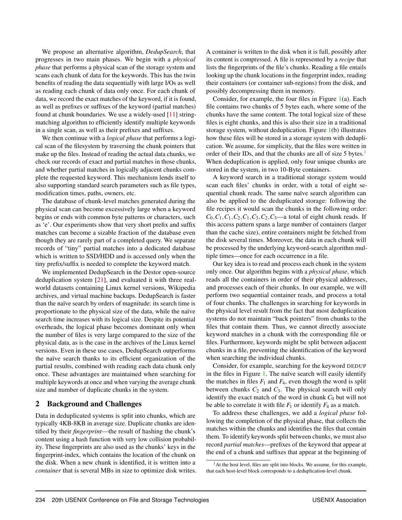We propose an alternative algorithm, *DedupSearch*, that progresses in two main phases. We begin with a *physical phase* that performs a physical scan of the storage system and scans each chunk of data for the keywords. This has the twin benefits of reading the data sequentially with large I/Os as well as reading each chunk of data only once. For each chunk of data, we record the exact matches of the keyword, if it is found, as well as prefixes or suffixes of the keyword (partial matches) found at chunk boundaries. We use a widely-used [\[11\]](#page-13-5) stringmatching algorithm to efficiently identify multiple keywords in a single scan, as well as their prefixes and suffixes.

We then continue with a *logical phase* that performs a logical scan of the filesystem by traversing the chunk pointers that make up the files. Instead of reading the actual data chunks, we check our records of exact and partial matches in those chunks, and whether partial matches in logically adjacent chunks complete the requested keyword. This mechanism lends itself to also supporting standard search parameters such as file types, modification times, paths, owners, etc.

The database of chunk-level matches generated during the physical scan can become excessively large when a keyword begins or ends with common byte patterns or characters, such as 'e'. Our experiments show that very short prefix and suffix matches can become a sizable fraction of the database even though they are rarely part of a completed query. We separate records of "tiny" partial matches into a dedicated database which is written to SSD/HDD and is accessed only when the tiny prefix/suffix is needed to complete the keyword match.

We implemented DedupSearch in the Destor open-source deduplication system [\[21\]](#page-13-6), and evaluated it with three realworld datasets containing Linux kernel versions, Wikipedia archives, and virtual machine backups. DedupSearch is faster than the naïve search by orders of magnitude: its search time is proportionate to the physical size of the data, while the naïve search time increases with its logical size. Despite its potential overheads, the logical phase becomes dominant only when the number of files is very large compared to the size of the physical data, as is the case in the archives of the Linux kernel versions. Even in these use cases, DedupSearch outperforms the naïve search thanks to its efficient organization of the partial results, combined with reading each data chunk only once. These advantages are maintained when searching for multiple keywords at once and when varying the average chunk size and number of duplicate chunks in the system.

## 2 Background and Challenges

Data in deduplicated systems is split into chunks, which are typically 4KB-8KB in average size. Duplicate chunks are identified by their *fingerprint*—the result of hashing the chunk's content using a hash function with very low collision probability. These fingerprints are also used as the chunks' keys in the fingerprint-index, which contains the location of the chunk on the disk. When a new chunk is identified, it is written into a *container* that is several MBs in size to optimize disk writes. A container is written to the disk when it is full, possibly after its content is compressed. A file is represented by a *recipe* that lists the fingerprints of the file's chunks. Reading a file entails looking up the chunk locations in the fingerprint index, reading their containers (or container sub-regions) from the disk, and possibly decompressing them in memory.

Consider, for example, the four files in Figure [1\(](#page-3-0)a). Each file contains two chunks of 5 bytes each, where some of the chunks have the same content. The total logical size of these files is eight chunks, and this is also their size in a traditional storage system, without deduplication. Figure [1\(](#page-3-0)b) illustrates how these files will be stored in a storage system with deduplication. We assume, for simplicity, that the files were written in order of their IDs, and that the chunks are all of size 5 bytes.<sup>[1](#page-2-0)</sup> When deduplication is applied, only four unique chunks are stored in the system, in two 10-Byte containers.

A keyword search in a traditional storage system would scan each files' chunks in order, with a total of eight sequential chunk reads. The same naïve search algorithm can also be applied to the deduplicated storage: following the file recipes it would scan the chunks in the following order:  $C_0$ ,  $C_1$ ,  $C_1$ ,  $C_2$ ,  $C_1$ ,  $C_3$ ,  $C_2$ ,  $C_3$ —a total of eight chunk reads. If this access pattern spans a large number of containers (larger than the cache size), entire containers might be fetched from the disk several times. Moreover, the data in each chunk will be processed by the underlying keyword-search algorithm multiple times—once for each occurrence in a file.

Our key idea is to read and process each chunk in the system only once. Our algorithm begins with a *physical phase*, which reads all the containers in order of their physical addresses, and processes each of their chunks. In our example, we will perform two sequential container reads, and process a total of four chunks. The challenges in searching for keywords in the physical level result from the fact that most deduplication systems do not maintain "back pointers" from chunks to the files that contain them. Thus, we cannot directly associate keyword matches in a chunk with the corresponding file or files. Furthermore, keywords might be split between adjacent chunks in a file, preventing the identification of the keyword when searching the individual chunks.

Consider, for example, searching for the keyword DEDUP in the files in Figure [1.](#page-3-0) The naïve search will easily identify the matches in files  $F_1$  and  $F_4$ , even though the word is split between chunks  $C_2$  and  $C_3$ . The physical search will only identify the exact match of the word in chunk  $C_0$  but will not be able to correlate it with file  $F_1$  or identify  $F_4$  as a match.

To address these challenges, we add a *logical phase* following the completion of the physical phase, that collects the matches within the chunks and identifies the files that contain them. To identify keywords split between chunks, we must also record *partial matches*—prefixes of the keyword that appear at the end of a chunk and suffixes that appear at the beginning of

<span id="page-2-0"></span> $<sup>1</sup>$ At the host level, files are split into blocks. We assume, for this example,</sup> that each host-level block corresponds to a deduplication-level chunk.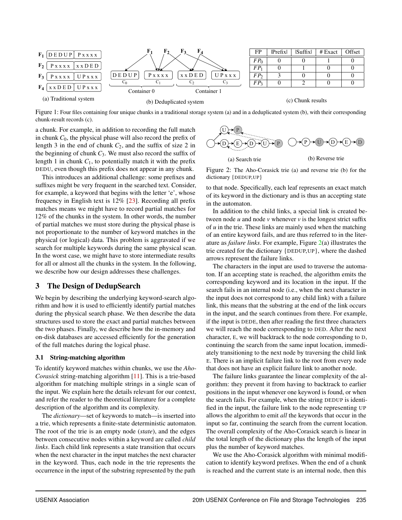<span id="page-3-0"></span>

Figure 1: Four files containing four unique chunks in a traditional storage system (a) and in a deduplicated system (b), with their corresponding chunk-result records (c).

a chunk. For example, in addition to recording the full match in chunk  $C_0$ , the physical phase will also record the prefix of length 3 in the end of chunk *C*2, and the suffix of size 2 in the beginning of chunk  $C_3$ . We must also record the suffix of length 1 in chunk  $C_1$ , to potentially match it with the prefix DEDU, even though this prefix does not appear in any chunk.

This introduces an additional challenge: some prefixes and suffixes might be very frequent in the searched text. Consider, for example, a keyword that begins with the letter 'e', whose frequency in English text is 12% [\[23\]](#page-13-7). Recording all prefix matches means we might have to record partial matches for 12% of the chunks in the system. In other words, the number of partial matches we must store during the physical phase is not proportionate to the number of keyword matches in the physical (or logical) data. This problem is aggravated if we search for multiple keywords during the same physical scan. In the worst case, we might have to store intermediate results for all or almost all the chunks in the system. In the following, we describe how our design addresses these challenges.

#### 3 The Design of DedupSearch

We begin by describing the underlying keyword-search algorithm and how it is used to efficiently identify partial matches during the physical search phase. We then describe the data structures used to store the exact and partial matches between the two phases. Finally, we describe how the in-memory and on-disk databases are accessed efficiently for the generation of the full matches during the logical phase.

#### <span id="page-3-2"></span>3.1 String-matching algorithm

To identify keyword matches within chunks, we use the *Aho-Corasick* string-matching algorithm [\[11\]](#page-13-5). This is a trie-based algorithm for matching multiple strings in a single scan of the input. We explain here the details relevant for our context, and refer the reader to the theoretical literature for a complete description of the algorithm and its complexity.

The *dictionary*—set of keywords to match—is inserted into a trie, which represents a finite-state deterministic automaton. The root of the trie is an empty node (*state*), and the edges between consecutive nodes within a keyword are called *child links*. Each child link represents a state transition that occurs when the next character in the input matches the next character in the keyword. Thus, each node in the trie represents the occurrence in the input of the substring represented by the path

<span id="page-3-1"></span>

Figure 2: The Aho-Corasick trie (a) and reverse trie (b) for the dictionary {DEDUP,UP}

to that node. Specifically, each leaf represents an exact match of its keyword in the dictionary and is thus an accepting state in the automaton.

In addition to the child links, a special link is created between node  $u$  and node  $v$  whenever  $v$  is the longest strict suffix of *u* in the trie. These links are mainly used when the matching of an entire keyword fails, and are thus referred to in the literature as *failure links*. For example, Figure [2\(](#page-3-1)a) illustrates the trie created for the dictionary {DEDUP,UP}, where the dashed arrows represent the failure links.

The characters in the input are used to traverse the automaton. If an accepting state is reached, the algorithm emits the corresponding keyword and its location in the input. If the search fails in an internal node (i.e., when the next character in the input does not correspond to any child link) with a failure link, this means that the substring at the end of the link occurs in the input, and the search continues from there. For example, if the input is DEDE, then after reading the first three characters we will reach the node corresponding to DED. After the next character, E, we will backtrack to the node corresponding to D, continuing the search from the same input location, immediately transitioning to the next node by traversing the child link E. There is an implicit failure link to the root from every node that does not have an explicit failure link to another node.

The failure links guarantee the linear complexity of the algorithm: they prevent it from having to backtrack to earlier positions in the input whenever one keyword is found, or when the search fails. For example, when the string DEDUP is identified in the input, the failure link to the node representing UP allows the algorithm to emit *all* the keywords that occur in the input so far, continuing the search from the current location. The overall complexity of the Aho-Corasick search is linear in the total length of the dictionary plus the length of the input plus the number of keyword matches.

We use the Aho-Corasick algorithm with minimal modification to identify keyword prefixes. When the end of a chunk is reached and the current state is an internal node, then this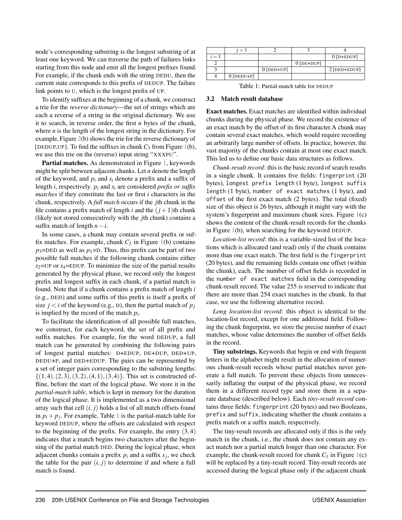node's corresponding substring is the longest substring of at least one keyword. We can traverse the path of failures links starting from this node and emit all the longest prefixes found. For example, if the chunk ends with the string DEDU, then the current state corresponds to this prefix of DEDUP. The failure link points to U, which is the longest prefix of UP.

To identify suffixes at the beginning of a chunk, we construct a trie for the *reverse dictionary*—the set of strings which are each a reverse of a string in the original dictionary. We use it to search, in reverse order, the first *n* bytes of the chunk, where *n* is the length of the longest string in the dictionary. For example, Figure [2\(](#page-3-1)b) shows the trie for the reverse dictionary of  $\{$  DEDUP, UP  $\}$ . To find the suffixes in chunk  $C_3$  from Figure [1\(](#page-3-0)b), we use this trie on the (reverse) input string "XXXPU".

Partial matches. As demonstrated in Figure [1,](#page-3-0) keywords might be split between adjacent chunks. Let *n* denote the length of the keyword, and *p<sup>i</sup>* and *s<sup>i</sup>* denote a prefix and a suffix of length *i*, respectively. *p<sup>i</sup>* and *s<sup>i</sup>* are considered *prefix or suffix matches* if they constitute the last or first *i* characters in the chunk, respectively. A *full match* occurs if the *j*th chunk in the file contains a prefix match of length *i* and the  $(j+1)$ th chunk (likely not stored consecutively with the *j*th chunk) contains a suffix match of length  $n-i$ .

In some cases, a chunk may contain several prefix or suffix matches. For example, chunk  $C_2$  in Figure [1\(](#page-3-0)b) contains  $p_3$ =DED as well as  $p_1$ =D. Thus, this prefix can be part of two possible full matches if the following chunk contains either *s*2=UP or *s*4=EDUP. To minimize the size of the partial results generated by the physical phase, we record only the longest prefix and longest suffix in each chunk, if a partial match is found. Note that if a chunk contains a prefix match of length *i* (e.g., DED) and some suffix of this prefix is itself a prefix of size  $j < i$  of the keyword (e.g., D), then the partial match of  $p_j$ is implied by the record of the match  $p_i$ .

To facilitate the identification of all possible full matches, we construct, for each keyword, the set of all prefix and suffix matches. For example, for the word DEDUP, a full match can be generated by combining the following pairs of longest partial matches: D+EDUP, DE+DUP, DED+UP, DEDU+P, and DED+EDUP. The pairs can be represented by a set of integer pairs corresponding to the substring lengths:  $\{(1,4),(2,3),(3,2),(4,1),(3,4)\}.$  This set is constructed offline, before the start of the logical phase. We store it in the *partial-match table*, which is kept in memory for the duration of the logical phase. It is implemented as a two dimensional array such that cell  $(i, j)$  holds a list of all match offsets found in  $p_i + p_j$ . For example, Table [1](#page-4-0) is the partial-match table for keyword DEDUP, where the offsets are calculated with respect to the beginning of the prefix. For example, the entry  $(3,4)$ indicates that a match begins two characters after the beginning of the partial match DED. During the logical phase, when adjacent chunks contain a prefix  $p_i$  and a suffix  $s_j$ , we check the table for the pair  $(i, j)$  to determine if and where a full match is found.

<span id="page-4-0"></span>

| $=$ |              |              |              | $0$ [D+EDUP] |
|-----|--------------|--------------|--------------|--------------|
|     |              |              | $0$ [DE+DUP] |              |
|     |              | $0$ [DED+UP] |              | 2 [DED+EDUP] |
|     | $0$ [DEDU+P] |              |              |              |

Table 1: Partial-match table for DEDUP

#### <span id="page-4-1"></span>3.2 Match result database

Exact matches. Exact matches are identified within individual chunks during the physical phase. We record the existence of an exact match by the offset of its first character.A chunk may contain several exact matches, which would require recording an arbitrarily large number of offsets. In practice, however, the vast majority of the chunks contain at most one exact match. This led us to define our basic data structures as follows.

*Chunk-result record*: this is the basic record of search results in a single chunk. It contains five fields: fingerprint (20 bytes), longest prefix length (1 byte), longest suffix length (1 byte), number of exact matches (1 byte), and offset of the first exact match (2 bytes). The total (fixed) size of this object is 26 bytes, although it might vary with the system's fingerprint and maximum chunk sizes. Figure [1\(](#page-3-0)c) shows the content of the chunk-result records for the chunks in Figure  $1(b)$  $1(b)$ , when searching for the keyword DEDUP.

*Location-list record*: this is a variable-sized list of the locations which is allocated (and read) only if the chunk contains more than one exact match. The first field is the fingerprint (20 bytes), and the remaining fields contain one offset (within the chunk), each. The number of offset fields is recorded in the number of exact matches field in the corresponding chunk-result record. The value 255 is reserved to indicate that there are more than 254 exact matches in the chunk. In that case, we use the following alternative record.

*Long location-list record*: this object is identical to the location-list record, except for one additional field. Following the chunk fingerprint, we store the precise number of exact matches, whose value determines the number of offset fields in the record.

Tiny substrings. Keywords that begin or end with frequent letters in the alphabet might result in the allocation of numerous chunk-result records whose partial matches never generate a full match. To prevent these objects from unnecessarily inflating the output of the physical phase, we record them in a different record type and store them in a separate database (described below). Each *tiny-result record* contains three fields: fingerprint (20 bytes) and two Booleans, prefix and suffix, indicating whether the chunk contains a prefix match or a suffix match, respectively.

The tiny-result records are allocated only if this is the only match in the chunk, i.e., the chunk does not contain any exact match nor a partial match longer than one character. For example, the chunk-result record for chunk  $C_1$  in Figure  $1(c)$  $1(c)$ will be replaced by a tiny-result record. Tiny-result records are accessed during the logical phase only if the adjacent chunk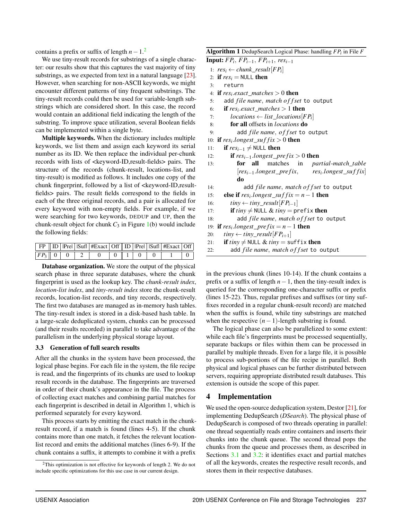contains a prefix or suffix of length  $n-1$ <sup>[2](#page-5-0)</sup>

We use tiny-result records for substrings of a single character: our results show that this captures the vast majority of tiny substrings, as we expected from text in a natural language [\[23\]](#page-13-7). However, when searching for non-ASCII keywords, we might encounter different patterns of tiny frequent substrings. The tiny-result records could then be used for variable-length substrings which are considered short. In this case, the record would contain an additional field indicating the length of the substring. To improve space utilization, several Boolean fields can be implemented within a single byte.

Multiple keywords. When the dictionary includes multiple keywords, we list them and assign each keyword its serial number as its ID. We then replace the individual per-chunk records with lists of <keyword-ID,result-fields> pairs. The structure of the records (chunk-result, locations-list, and tiny-result) is modified as follows. It includes one copy of the chunk fingerprint, followed by a list of <keyword-ID, resultfields> pairs. The result fields correspond to the fields in each of the three original records, and a pair is allocated for every keyword with non-empty fields. For example, if we were searching for two keywords, DEDUP and UP, then the chunk-result object for chunk  $C_3$  in Figure [1\(](#page-3-0)b) would include the following fields:

|  |                                                                | FP    ID   Pre   Suf  #Exact   Off    ID   Pre   Suf  #Exact   Off |  |  |  |
|--|----------------------------------------------------------------|--------------------------------------------------------------------|--|--|--|
|  | $\boxed{FP_3 \parallel 0 \parallel 0 \parallel 2 \parallel 0}$ | $0 \t 0 \t 1 \t 0 \t 0$                                            |  |  |  |

Database organization. We store the output of the physical search phase in three separate databases, where the chunk fingerprint is used as the lookup key. The *chunk-result index*, *location-list index*, and *tiny-result index* store the chunk-result records, location-list records, and tiny records, respectively. The first two databases are managed as in-memory hash tables. The tiny-result index is stored in a disk-based hash table. In a large-scale deduplicated system, chunks can be processed (and their results recorded) in parallel to take advantage of the parallelism in the underlying physical storage layout.

#### <span id="page-5-1"></span>3.3 Generation of full search results

After all the chunks in the system have been processed, the logical phase begins. For each file in the system, the file recipe is read, and the fingerprints of its chunks are used to lookup result records in the database. The fingerprints are traversed in order of their chunk's appearance in the file. The process of collecting exact matches and combining partial matches for each fingerprint is described in detail in Algorithm 1, which is performed separately for every keyword.

This process starts by emitting the exact match in the chunkresult record, if a match is found (lines 4-5). If the chunk contains more than one match, it fetches the relevant locationlist record and emits the additional matches (lines 6-9). If the chunk contains a suffix, it attempts to combine it with a prefix

Algorithm 1 DedupSearch Logical Phase: handling *FP<sup>i</sup>* in File *F* Input: *FP<sup>i</sup>* , *FPi*−1, *FPi*+1, *resi*−<sup>1</sup> 1:  $res_i \leftarrow chunk\_result[FP_i]$ 2: if  $res_i = \text{NULL}$  then 3: return 4: **if**  $res_i$  *exact\_matches*  $> 0$  **then** 5: add *f ile name*, *match o f f set* to output 6: **if**  $res_i$ **.***exact\_matches* > 1 **then** 7:  $$ 8: for all offsets in *locations* do 9: add *f ile name*, *o f f set* to output 10: **if**  $res_i \cdot longest\_suffix > 0$  then 11: **if**  $res_{i-1} \neq$  NULL **then** 12: **if**  $res_{i-1}.longest\_prefix > 0$  then 13: for all matches in *partial*-*match*\_*table*  $[res_{i-1}.longest\_prefix,$  $res<sub>i</sub>$ *.longest suffix* do 14: add *f ile name*, *match o f f set* to output 15: **else if**  $res_i \cdot longest\_suff \cdot ix = n - 1$  **then** 16:  $tiny ← tiny\_result[FP_{i-1}]$ 17: **if**  $tiny \neq$  NULL &  $tiny =$  prefix **then** 18: add *f ile name*, *match o f f set* to output 19: **if**  $res_i \cdot longest\_prefix = n - 1$  **then** 20:  $tiny \leftarrow tiny\_result[FP_{i+1}]$ 21: **if**  $tiny \neq$  NULL &  $tiny =$  suffix **then** 22: add *f ile name*, *match o f f set* to output

in the previous chunk (lines 10-14). If the chunk contains a prefix or a suffix of length *n*−1, then the tiny-result index is queried for the corresponding one-character suffix or prefix (lines 15-22). Thus, regular prefixes and suffixes (or tiny suffixes recorded in a regular chunk-result record) are matched when the suffix is found, while tiny substrings are matched when the respective  $(n-1)$ -length substring is found.

The logical phase can also be parallelized to some extent: while each file's fingerprints must be processed sequentially, separate backups or files within them can be processed in parallel by multiple threads. Even for a large file, it is possible to process sub-portions of the file recipe in parallel. Both physical and logical phases can be further distributed between servers, requiring appropriate distributed result databases. This extension is outside the scope of this paper.

## 4 Implementation

We used the open-source deduplication system, Destor  $[21]$ , for implementing DedupSearch (*DSearch*). The physical phase of DedupSearch is composed of two threads operating in parallel: one thread sequentially reads entire containers and inserts their chunks into the chunk queue. The second thread pops the chunks from the queue and processes them, as described in Sections [3.1](#page-3-2) and [3.2:](#page-4-1) it identifies exact and partial matches of all the keywords, creates the respective result records, and stores them in their respective databases.

<span id="page-5-0"></span> $2$ This optimization is not effective for keywords of length 2. We do not include specific optimizations for this use case in our current design.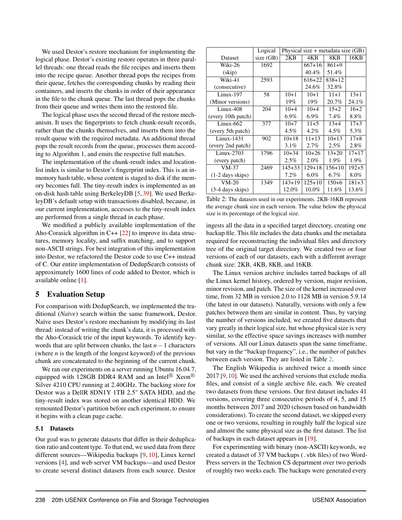We used Destor's restore mechanism for implementing the logical phase. Destor's existing restore operates in three parallel threads: one thread reads the file recipes and inserts them into the recipe queue. Another thread pops the recipes from their queue, fetches the corresponding chunks by reading their containers, and inserts the chunks in order of their appearance in the file to the chunk queue. The last thread pops the chunks from their queue and writes them into the restored file.

The logical phase uses the second thread of the restore mechanism. It uses the fingerprints to fetch chunk-result records, rather than the chunks themselves, and inserts them into the result queue with the required metadata. An additional thread pops the result records from the queue, processes them according to Algorithm 1, and emits the respective full matches.

The implementation of the chunk-result index and locationlist index is similar to Destor's fingerprint index. This is an inmemory hash table, whose content is staged to disk if the memory becomes full. The tiny-result index is implemented as an on-disk hash table using BerkeleyDB [\[5,](#page-13-8) [39\]](#page-14-11). We used BerkeleyDB's default setup with transactions disabled, because, in our current implementation, accesses to the tiny-result index are performed from a single thread in each phase.

We modified a publicly available implementation of the Aho-Corasick algorithm in  $C++$  [\[22\]](#page-13-9) to improve its data structures, memory locality, and suffix matching, and to support non-ASCII strings. For best integration of this implementation into Destor, we refactored the Destor code to use C++ instead of C. Our entire implementation of DedupSearch consists of approximately 1600 lines of code added to Destor, which is available online [\[1\]](#page-13-10).

#### 5 Evaluation Setup

For comparison with DedupSearch, we implemented the traditional (*Naïve*) search within the same framework, Destor. Naïve uses Destor's restore mechanism by modifying its last thread: instead of writing the chunk's data, it is processed with the Aho-Corasick trie of the input keywords. To identify keywords that are split between chunks, the last *n*−1 characters (where *n* is the length of the longest keyword) of the previous chunk are concatenated to the beginning of the current chunk.

We ran our experiments on a server running Ubuntu 16.04.7, equipped with 128GB DDR4 RAM and an Intel<sup>®</sup> Xeon<sup>®</sup> Silver 4210 CPU running at 2.40GHz. The backing store for Destor was a DellR 8DN1Y 1TB 2.5" SATA HDD, and the tiny-result index was stored on another identical HDD. We remounted Destor's partition before each experiment, to ensure it begins with a clean page cache.

#### 5.1 Datasets

Our goal was to generate datasets that differ in their deduplication ratio and content type. To that end, we used data from three different sources—Wikipedia backups [\[9,](#page-13-11) [10\]](#page-13-12), Linux kernel versions [\[4\]](#page-13-13), and web server VM backups—and used Destor to create several distinct datasets from each source. Destor

<span id="page-6-0"></span>

|                            | Logical   | Physical size $+$ metadata size $(GB)$ |            |            |           |  |
|----------------------------|-----------|----------------------------------------|------------|------------|-----------|--|
| Dataset                    | size (GB) | 2KB                                    | 4KB        | 8KB        | 16KB      |  |
| Wiki-26                    | 1692      |                                        | $667+16$   | $861+9$    |           |  |
| (skip)                     |           |                                        | 40.4%      | 51.4%      |           |  |
| Wiki-41                    | 2593      |                                        | $616 + 22$ | $838+12$   |           |  |
| (consecutive)              |           |                                        | 24.6%      | 32.8%      |           |  |
| $Linux-197$                | 58        | $10+1$                                 | $10+1$     | $11+1$     | $13+1$    |  |
| (Minor versions)           |           | 19%                                    | 19%        | 20.7%      | 24.1%     |  |
| $Linux-408$                | 204       | $10+4$                                 | $10+4$     | $15+2$     | $16+2$    |  |
| (every 10th patch)         |           | $6.9\%$                                | $6.9\%$    | 7.4%       | 8.8%      |  |
| $Linux-662$                | 377       | $10+7$                                 | $11+5$     | $13+4$     | $17 + 3$  |  |
| (every 5th patch)          |           | 4.5%                                   | 4.2%       | $4.5\%$    | 5.3%      |  |
| $Linux-1431$               | 902       | $10+18$                                | $11+13$    | $10+13$    | $17 + 8$  |  |
| (every 2nd patch)          |           | 3.1%                                   | 2.7%       | $2.5\%$    | 2.8%      |  |
| $Linux-2703$               | 1796      | $10+34$                                | $10+26$    | $13 + 20$  | $17 + 17$ |  |
| (every patch)              |           | 2.5%                                   | $2.0\%$    | 1.9%       | 1.9%      |  |
| $VM-37$                    | 2469      | $145 + 33$                             | $129 + 18$ | $156 + 10$ | $192 + 5$ |  |
| $(1-2 \text{ days skips})$ |           | $7.2\%$                                | $6.0\%$    | $6.7\%$    | $8.0\%$   |  |
| $VM-20$                    | 1349      | $143 + 19$                             | $125 + 10$ | $150 + 6$  | $181 + 3$ |  |
| $(3-4$ days skips)         |           | 12.0%                                  | 10.0%      | 11.6%      | 13.6%     |  |

Table 2: The datasets used in our experiments. 2KB-16KB represent the average chunk size in each version. The value below the physical size is its percentage of the logical size.

ingests all the data in a specified target directory, creating one backup file. This file includes the data chunks and the metadata required for reconstructing the individual files and directory tree of the original target directory. We created two or four versions of each of our datasets, each with a different average chunk size: 2KB, 4KB, 8KB, and 16KB.

The Linux version archive includes tarred backups of all the Linux kernel history, ordered by version, major revision, minor revision, and patch. The size of the kernel increased over time, from 32 MB in version 2.0 to 1128 MB in version 5.9.14 (the latest in our datasets). Naturally, versions with only a few patches between them are similar in content. Thus, by varying the number of versions included, we created five datasets that vary greatly in their logical size, but whose physical size is very similar, so the effective space savings increases with number of versions. All our Linux datasets span the same timeframe, but vary in the "backup frequency", i.e., the number of patches between each version. They are listed in Table [2.](#page-6-0)

The English Wikipedia is archived twice a month since  $2017$  [\[9,](#page-13-11) [10\]](#page-13-12). We used the archived versions that exclude media files, and consist of a single archive file, each. We created two datasets from these versions. Our first dataset includes 41 versions, covering three consecutive periods of 4, 5, and 15 months between 2017 and 2020 (chosen based on bandwidth considerations). To create the second dataset, we skipped every one or two versions, resulting in roughly half the logical size and almost the same physical size as the first dataset. The list of backups in each dataset appears in [\[19\]](#page-13-14).

For experimenting with binary (non-ASCII) keywords, we created a dataset of 37 VM backups (.vbk files) of two Word-Press servers in the Technion CS department over two periods of roughly two weeks each. The backups were generated every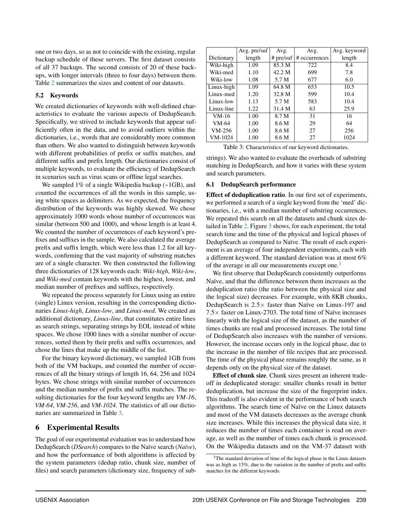one or two days, so as not to coincide with the existing, regular backup schedule of these servers. The first dataset consists of all 37 backups. The second consists of 20 of these backups, with longer intervals (three to four days) between them. Table [2](#page-6-0) summarizes the sizes and content of our datasets.

## 5.2 Keywords

We created dictionaries of keywords with well-defined characteristics to evaluate the various aspects of DedupSearch. Specifically, we strived to include keywords that appear sufficiently often in the data, and to avoid outliers within the dictionaries, i.e., words that are considerably more common than others. We also wanted to distinguish between keywords with different probabilities of prefix or suffix matches, and different suffix and prefix length. Our dictionaries consist of multiple keywords, to evaluate the efficiency of DedupSearch in scenarios such as virus scans or offline legal searches.

We sampled 1% of a single Wikipedia backup (~1GB), and counted the occurrences of all the words in this sample, using white spaces as delimiters. As we expected, the frequency distribution of the keywords was highly skewed. We chose approximately 1000 words whose number of occurrences was similar (between 500 and 1000), and whose length is at least 4. We counted the number of occurrences of each keyword's prefixes and suffixes in the sample. We also calculated the average prefix and suffix length, which were less than 1.2 for all keywords, confirming that the vast majority of substring matches are of a single character. We then constructed the following three dictionaries of 128 keywords each: *Wiki-high*, *Wiki-low*, and *Wiki-med* contain keywords with the highest, lowest, and median number of prefixes and suffixes, respectively.

We repeated the process separately for Linux using an entire (single) Linux version, resulting in the corresponding dictionaries *Linux-high*, *Linux-low*, and *Linux-med*. We created an additional dictionary, *Linux-line*, that constitutes entire lines as search strings, separating strings by EOL instead of white spaces. We chose 1000 lines with a similar number of occurrences, sorted them by their prefix and suffix occurrences, and chose the lines that make up the middle of the list.

For the binary keyword dictionary, we sampled 1GB from both of the VM backups, and counted the number of occurrences of all the binary strings of length 16, 64, 256 and 1024 bytes. We chose strings with similar number of occurrences and the median number of prefix and suffix matches. The resulting dictionaries for the four keyword lengths are *VM-16*, *VM-64*, *VM-256*, and *VM-1024*. The statistics of all our dictionaries are summarized in Table [3.](#page-7-0)

## 6 Experimental Results

The goal of our experimental evaluation was to understand how DedupSearch (*DSearch*) compares to the Naïve search (*Naïve*), and how the performance of both algorithms is affected by the system parameters (dedup ratio, chunk size, number of files) and search parameters (dictionary size, frequency of sub-

<span id="page-7-0"></span>

|            | Avg. pre/suf | Avg.        | Avg.          | Avg. keyword |
|------------|--------------|-------------|---------------|--------------|
| Dictionary | length       | $#$ pre/suf | # occurrences | length       |
| Wiki-high  | 1.09         | 85.3 M      | 722           | 8.4          |
| Wiki-med   | 1.10         | 42.2 M      | 699           | 7.8          |
| Wiki-low   | 1.08         | 5.7 M       | 677           | 6.0          |
| Linux-high | 1.09         | 64.8 M      | 653           | 10.5         |
| Linux-med  | 1.20         | 32.8 M      | 599           | 10.4         |
| Linux-low  | 1.13         | 5.7 M       | 583           | 10.4         |
| Linux-line | 1.22         | 31.4 M      | 63            | 25.9         |
| $VM-16$    | 1.00         | 8.7 M       | 31            | 16           |
| VM-64      | 1.00         | 8.6 M       | 29            | 64           |
| $VM-256$   | 1.00         | 8.6 M       | 27            | 256          |
| VM-1024    | 1.00         | 8.6 M       | 27            | 1024         |

| Table 3: Characteristics of our keyword dictionaries. |  |
|-------------------------------------------------------|--|
|-------------------------------------------------------|--|

strings). We also wanted to evaluate the overheads of substring matching in DedupSearch, and how it varies with these system and search parameters.

## 6.1 DedupSearch performance

Effect of deduplication ratio. In our first set of experiments, we performed a search of a single keyword from the 'med' dictionaries, i.e., with a median number of substring occurrences. We repeated this search on all the datasets and chunk sizes detailed in Table [2.](#page-6-0) Figure [3](#page-8-0) shows, for each experiment, the total search time and the time of the physical and logical phases of DedupSearch as compared to Naïve. The result of each experiment is an average of four independent experiments, each with a different keyword. The standard deviation was at most 6% of the average in all our measurements except one.<sup>[3](#page-7-1)</sup>

We first observe that DedupSearch consistently outperforms Naïve, and that the difference between them increases as the deduplication ratio (the ratio between the physical size and the logical size) decreases. For example, with 8KB chunks, DedupSearch is  $2.5\times$  faster than Naïve on Linux-197 and 7.5× faster on Linux-2703. The total time of Naïve increases linearly with the logical size of the dataset, as the number of times chunks are read and processed increases. The total time of DedupSearch also increases with the number of versions. However, the increase occurs only in the logical phase, due to the increase in the number of file recipes that are processed. The time of the physical phase remains roughly the same, as it depends only on the physical size of the dataset.

Effect of chunk size. Chunk sizes present an inherent tradeoff in deduplicated storage: smaller chunks result in better deduplication, but increase the size of the fingerprint index. This tradeoff is also evident in the performance of both search algorithms. The search time of Naïve on the Linux datasets and most of the VM datasets decreases as the average chunk size increases. While this increases the physical data size, it reduces the number of times each container is read on average, as well as the number of times each chunk is processed. On the Wikipedia datasets and on the VM-37 dataset with

<span id="page-7-1"></span><sup>&</sup>lt;sup>3</sup>The standard deviation of time of the logical phase in the Linux datasets was as high as 15%, due to the variation in the number of prefix and suffix matches for the different keywords.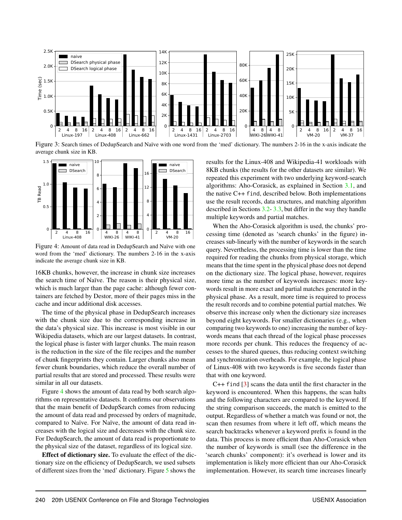<span id="page-8-0"></span>

Figure 3: Search times of DedupSearch and Naïve with one word from the 'med' dictionary. The numbers 2-16 in the x-axis indicate the average chunk size in KB.

<span id="page-8-1"></span>

Figure 4: Amount of data read in DedupSearch and Naïve with one word from the 'med' dictionary. The numbers 2-16 in the x-axis indicate the average chunk size in KB.

16KB chunks, however, the increase in chunk size increases the search time of Naïve. The reason is their physical size, which is much larger than the page cache: although fewer containers are fetched by Destor, more of their pages miss in the cache and incur additional disk accesses.

The time of the physical phase in DedupSearch increases with the chunk size due to the corresponding increase in the data's physical size. This increase is most visible in our Wikipedia datasets, which are our largest datasets. In contrast, the logical phase is faster with larger chunks. The main reason is the reduction in the size of the file recipes and the number of chunk fingerprints they contain. Larger chunks also mean fewer chunk boundaries, which reduce the overall number of partial results that are stored and processed. These results were similar in all our datasets.

Figure [4](#page-8-1) shows the amount of data read by both search algorithms on representative datasets. It confirms our observations that the main benefit of DedupSearch comes from reducing the amount of data read and processed by orders of magnitude, compared to Naïve. For Naïve, the amount of data read increases with the logical size and decreases with the chunk size. For DedupSearch, the amount of data read is proportionate to the physical size of the dataset, regardless of its logical size.

Effect of dictionary size. To evaluate the effect of the dictionary size on the efficiency of DedupSearch, we used subsets of different sizes from the 'med' dictionary. Figure [5](#page-9-0) shows the

results for the Linux-408 and Wikipedia-41 workloads with 8KB chunks (the results for the other datasets are similar). We repeated this experiment with two underlying keyword-search algorithms: Aho-Corasick, as explained in Section [3.1,](#page-3-2) and the native C++ find, described below. Both implementations use the result records, data structures, and matching algorithm described in Sections [3.2-](#page-4-1) [3.3,](#page-5-1) but differ in the way they handle multiple keywords and partial matches.

When the Aho-Corasick algorithm is used, the chunks' processing time (denoted as 'search chunks' in the figure) increases sub-linearly with the number of keywords in the search query. Nevertheless, the processing time is lower than the time required for reading the chunks from physical storage, which means that the time spent in the physical phase does not depend on the dictionary size. The logical phase, however, requires more time as the number of keywords increases: more keywords result in more exact and partial matches generated in the physical phase. As a result, more time is required to process the result records and to combine potential partial matches. We observe this increase only when the dictionary size increases beyond eight keywords. For smaller dictionaries (e.g., when comparing two keywords to one) increasing the number of keywords means that each thread of the logical phase processes more records per chunk. This reduces the frequency of accesses to the shared queues, thus reducing context switching and synchronization overheads. For example, the logical phase of Linux-408 with two keywords is five seconds faster than that with one keyword.

C++ find [\[3\]](#page-13-15) scans the data until the first character in the keyword is encountered. When this happens, the scan halts and the following characters are compared to the keyword. If the string comparison succeeds, the match is emitted to the output. Regardless of whether a match was found or not, the scan then resumes from where it left off, which means the search backtracks whenever a keyword prefix is found in the data. This process is more efficient than Aho-Corasick when the number of keywords is small (see the difference in the 'search chunks' component): it's overhead is lower and its implementation is likely more efficient than our Aho-Corasick implementation. However, its search time increases linearly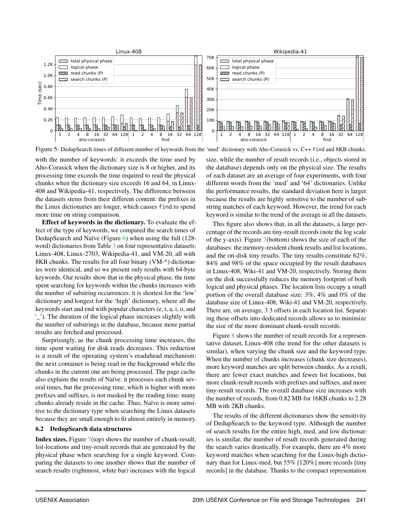<span id="page-9-0"></span>

Figure 5: DedupSearch times of different number of keywords from the 'med' dictionary with Aho-Corasick vs. C++ find and 8KB chunks.

with the number of keywords: it exceeds the time used by Aho-Corasick when the dictionary size is 8 or higher, and its processing time exceeds the time required to read the physical chunks when the dictionary size exceeds 16 and 64, in Linux-408 and Wikipedia-41, respectively. The difference between the datasets stems from their different content: the prefixes in the Linux dictionaries are longer, which causes find to spend more time on string comparison.

Effect of keywords in the dictionary. To evaluate the effect of the type of keywords, we compared the search times of DedupSearch and Naïve (Figure [6\)](#page-10-0) when using the full (128 word) dictionaries from Table [3](#page-7-0) on four representative datasets: Linux-408, Linux-2703, Wikipedia-41, and VM-20, all with 8KB chunks. The results for all four binary (VM-\*) dictionaries were identical, and so we present only results with 64-byte keywords. Our results show that in the physical phase, the time spent searching for keywords within the chunks increases with the number of substring occurrences: it is shortest for the 'low' dictionary and longest for the 'high' dictionary, where all the keywords start and end with popular characters (e, t, a, i, o, and '\_'). The duration of the logical phase increases slightly with the number of substrings in the database, because more partial results are fetched and processed.

Surprisingly, as the chunk processing time increases, the time spent waiting for disk reads decreases. This reduction is a result of the operating system's readahead mechanism: the next container is being read in the background while the chunks in the current one are being processed. The page cache also explains the results of Naïve: it processes each chunk several times, but the processing time, which is higher with more prefixes and suffixes, is not masked by the reading time: many chunks already reside in the cache. Thus, Naïve is more sensitive to the dictionary type when searching the Linux datasets because they are small enough to fit almost entirely in memory.

#### 6.2 DedupSearch data structures

Index sizes. Figure [7\(](#page-10-1)top) shows the number of chunk-result, list-locations and tiny-result records that are generated by the physical phase when searching for a single keyword. Comparing the datasets to one another shows that the number of search results (rightmost, white bar) increases with the logical

size, while the number of result records (i.e., objects stored in the database) depends only on the physical size. The results of each dataset are an average of four experiments, with four different words from the 'med' and '64' dictionaries. Unlike the performance results, the standard deviation here is larger because the results are highly sensitive to the number of substring matches of each keyword. However, the trend for each keyword is similar to the trend of the average in all the datasets.

This figure also shows that, in all the datasets, a large percentage of the records are tiny-result records (note the log scale of the y-axis). Figure [7\(](#page-10-1)bottom) shows the size of each of the databases: the memory-resident chunk results and list locations, and the on-disk tiny results. The tiny results constitute 62%, 84% and 98% of the space occupied by the result databases in Linux-408, Wiki-41 and VM-20, respectively. Storing them on the disk successfully reduces the memory footprint of both logical and physical phases. The location lists occupy a small portion of the overall database size: 3%, 4% and 0% of the database size of Linux-408, Wiki-41 and VM-20, respectively. There are, on average, 3.3 offsets in each location list. Separating these offsets into dedicated records allows us to minimize the size of the more dominant chunk-result records.

Figure [8](#page-11-0) shows the number of result records for a representative dataset, Linux-408 (the trend for the other datasets is similar), when varying the chunk size and the keyword type. When the number of chunks increases (chunk size decreases), more keyword matches are split between chunks. As a result, there are fewer exact matches and fewer list locations, but more chunk-result records with prefixes and suffixes, and more tiny-result records. The overall database size increases with the number of records, from 0.82 MB for 16KB chunks to 2.28 MB with 2KB chunks.

The results of the different dictionaries show the sensitivity of DedupSearch to the keyword type. Although the number of search results for the entire high, med, and low dictionaries is similar, the number of result records generated during the search varies drastically. For example, there are 4% more keyword matches when searching for the Linux-high dictionary than for Linux-med, but 55% [120%] more records [tiny records] in the database. Thanks to the compact representation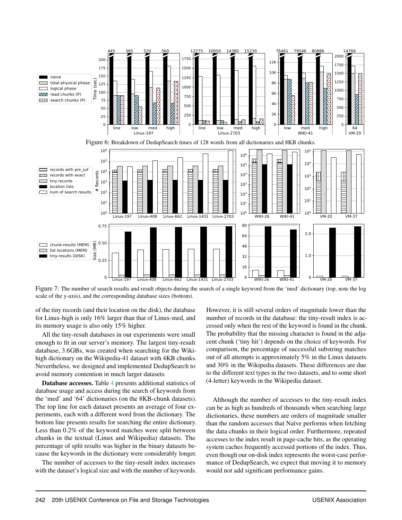<span id="page-10-1"></span><span id="page-10-0"></span>

Figure 7: The number of search results and result objects during the search of a single keyword from the 'med' dictionary (top, note the log scale of the y-axis), and the corresponding database sizes (bottom).

of the tiny records (and their location on the disk), the database for Linux-high is only 16% larger than that of Linux-med, and its memory usage is also only 15% higher.

All the tiny-result databases in our experiments were small enough to fit in our server's memory. The largest tiny-result database, 3.6GBs, was created when searching for the Wikihigh dictionary on the Wikipedia-41 dataset with 4KB chunks. Nevertheless, we designed and implemented DedupSearch to avoid memory contention in much larger datasets.

Database accesses. Table [4](#page-11-1) presents additional statistics of database usage and access during the search of keywords from the 'med' and '64' dictionaries (on the 8KB-chunk datasets). The top line for each dataset presents an average of four experiments, each with a different word from the dictionary. The bottom line presents results for searching the entire dictionary. Less than 0.2% of the keyword matches were split between chunks in the textual (Linux and Wikipedia) datasets. The percentage of split results was higher in the binary datasets because the keywords in the dictionary were considerably longer.

The number of accesses to the tiny-result index increases with the dataset's logical size and with the number of keywords. However, it is still several orders of magnitude lower than the number of records in the database: the tiny-result index is accessed only when the rest of the keyword is found in the chunk. The probability that the missing character is found in the adjacent chunk ('tiny hit') depends on the choice of keywords. For comparison, the percentage of successful substring matches out of all attempts is approximately 5% in the Linux datasets and 30% in the Wikipedia datasets. These differences are due to the different text types in the two datasets, and to some short (4-letter) keywords in the Wikipedia dataset.

Although the number of accesses to the tiny-result index can be as high as hundreds of thousands when searching large dictionaries, these numbers are orders of magnitude smaller than the random accesses that Naïve performs when fetching the data chunks in their logical order. Furthermore, repeated accesses to the index result in page-cache hits, as the operating system caches frequently accessed portions of the index. Thus, even though our on-disk index represents the worst-case performance of DedupSearch, we expect that moving it to memory would not add significant performance gains.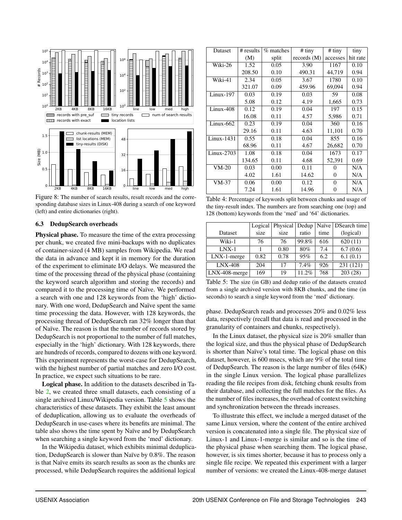<span id="page-11-0"></span>

Figure 8: The number of search results, result records and the corresponding database sizes in Linux-408 during a search of one keyword (left) and entire dictionaries (right).

#### 6.3 DedupSearch overheads

Physical phase. To measure the time of the extra processing per chunk, we created five mini-backups with no duplicates of container-sized (4 MB) samples from Wikipedia. We read the data in advance and kept it in memory for the duration of the experiment to eliminate I/O delays. We measured the time of the processing thread of the physical phase (containing the keyword search algorithm and storing the records) and compared it to the processing time of Naïve. We performed a search with one and 128 keywords from the 'high' dictionary. With one word, DedupSearch and Naïve spent the same time processing the data. However, with 128 keywords, the processing thread of DedupSearch ran 32% longer than that of Naïve. The reason is that the number of records stored by DedupSearch is not proportional to the number of full matches, especially in the 'high' dictionary. With 128 keywords, there are hundreds of records, compared to dozens with one keyword. This experiment represents the worst-case for DedupSearch, with the highest number of partial matches and zero I/O cost. In practice, we expect such situations to be rare.

Logical phase. In addition to the datasets described in Table [2,](#page-6-0) we created three small datasets, each consisting of a single archived Linux/Wikipedia version. Table [5](#page-11-2) shows the characteristics of these datasets. They exhibit the least amount of deduplication, allowing us to evaluate the overheads of DedupSearch in use-cases where its benefits are minimal. The table also shows the time spent by Naïve and by DedupSearch when searching a single keyword from the 'med' dictionary.

In the Wikipedia dataset, which exhibits minimal deduplication, DedupSearch is slower than Naïve by 0.8%. The reason is that Naïve emits its search results as soon as the chunks are processed, while DedupSearch requires the additional logical

<span id="page-11-1"></span>

| Dataset      | # results | $%$ matches | # tiny        | $#$ tiny | tiny     |
|--------------|-----------|-------------|---------------|----------|----------|
|              | (M)       | split       | records $(M)$ | accesses | hit rate |
| Wiki-26      | 1.52      | 0.05        | 3.90          | 1167     | 0.10     |
|              | 208.50    | 0.10        | 490.31        | 44,719   | 0.94     |
| Wiki-41      | 2.34      | 0.05        | 3.67          | 1780     | 0.10     |
|              | 321.07    | 0.09        | 459.96        | 69,094   | 0.94     |
| $Linux-197$  | 0.03      | 0.19        | 0.03          | 59       | 0.08     |
|              | 5.08      | 0.12        | 4.19          | 1,665    | 0.73     |
| $Linux-408$  | 0.12      | 0.19        | 0.04          | 197      | 0.15     |
|              | 16.08     | 0.11        | 4.57          | 5,986    | 0.71     |
| $Linux-662$  | 0.23      | 0.19        | 0.04          | 360      | 0.16     |
|              | 29.16     | 0.11        | 4.63          | 11,101   | 0.70     |
| $Linux-1431$ | 0.55      | 0.18        | 0.04          | 855      | 0.16     |
|              | 68.96     | 0.11        | 4.67          | 26,682   | 0.70     |
| $Linux-2703$ | 1.08      | 0.18        | 0.04          | 1673     | 0.17     |
|              | 134.65    | 0.11        | 4.68          | 52,391   | 0.69     |
| $VM-20$      | 0.03      | 0.00        | 0.11          | 0        | N/A      |
|              | 4.02      | 1.61        | 14.62         | $\Omega$ | N/A      |
| $VM-37$      | 0.06      | 0.00        | 0.12          | $\Omega$ | N/A      |
|              | 7.24      | 1.61        | 14.96         | 0        | N/A      |

Table 4: Percentage of keywords split between chunks and usage of the tiny-result index. The numbers are from searching one (top) and 128 (bottom) keywords from the 'med' and '64' dictionaries.

<span id="page-11-2"></span>

|               | Logical | Physical   Dedup |       |      | Naïve   DSearch time |
|---------------|---------|------------------|-------|------|----------------------|
| Dataset       | size    | size             | ratio | time | (logical)            |
| Wiki-1        | 76      | 76               | 99.8% | 616  | 620(11)              |
| $LNX-1$       |         | 0.80             | 80%   | 7.4  | 6.7(0.6)             |
| LNX-1-merge   | 0.82    | 0.78             | 95%   | 6.2  | 6.1(0.1)             |
| $LNX-408$     | 204     | 17               | 7.4%  | 926  | 231 (121)            |
| LNX-408-merge | 169     | 19               | 11.2% | 768  | 203(28)              |

Table 5: The size (in GB) and dedup ratio of the datasets created from a single archived version with 8KB chunks, and the time (in seconds) to search a single keyword from the 'med' dictionary.

phase. DedupSearch reads and processes 20% and 0.02% less data, respectively (recall that data is read and processed in the granularity of containers and chunks, respectively).

In the Linux dataset, the physical size is 20% smaller than the logical size, and thus the physical phase of DedupSearch is shorter than Naïve's total time. The logical phase on this dataset, however, is 600 msecs, which are 9% of the total time of DedupSearch. The reason is the large number of files (64K) in the single Linux version. The logical phase parallelizes reading the file recipes from disk, fetching chunk results from their database, and collecting the full matches for the files. As the number of files increases, the overhead of context switching and synchronization between the threads increases.

To illustrate this effect, we include a merged dataset of the same Linux version, where the content of the entire archived version is concatenated into a single file. The physical size of Linux-1 and Linux-1-merge is similar and so is the time of the physical phase when searching them. The logical phase, however, is six times shorter, because it has to process only a single file recipe. We repeated this experiment with a larger number of versions: we created the Linux-408-merge dataset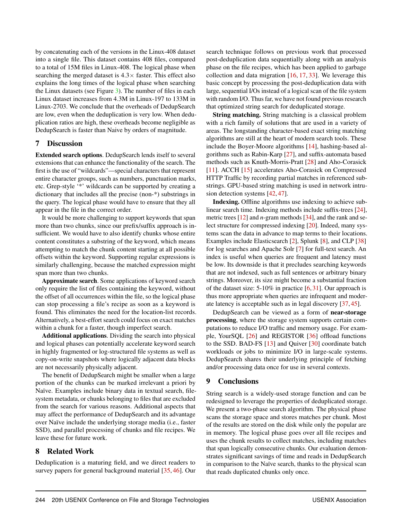by concatenating each of the versions in the Linux-408 dataset into a single file. This dataset contains 408 files, compared to a total of 15M files in Linux-408. The logical phase when searching the merged dataset is  $4.3 \times$  faster. This effect also explains the long times of the logical phase when searching the Linux datasets (see Figure [3\)](#page-8-0). The number of files in each Linux dataset increases from 4.3M in Linux-197 to 133M in Linux-2703. We conclude that the overheads of DedupSearch are low, even when the deduplication is very low. When deduplication ratios are high, these overheads become negligible as DedupSearch is faster than Naive by orders of magnitude.

## 7 Discussion

Extended search options. DedupSearch lends itself to several extensions that can enhance the functionality of the search. The first is the use of "wildcards"—special characters that represent entire character groups, such as numbers, punctuation marks, etc. Grep-style '\*' wildcards can be supported by creating a dictionary that includes all the precise (non-\*) substrings in the query. The logical phase would have to ensure that they all appear in the file in the correct order.

It would be more challenging to support keywords that span more than two chunks, since our prefix/suffix approach is insufficient. We would have to also identify chunks whose entire content constitutes a substring of the keyword, which means attempting to match the chunk content starting at all possible offsets within the keyword. Supporting regular expressions is similarly challenging, because the matched expression might span more than two chunks.

Approximate search. Some applications of keyword search only require the list of files containing the keyword, without the offset of all occurrences within the file, so the logical phase can stop processing a file's recipe as soon as a keyword is found. This eliminates the need for the location-list records. Alternatively, a best-effort search could focus on exact matches within a chunk for a faster, though imperfect search.

Additional applications. Dividing the search into physical and logical phases can potentially accelerate keyword search in highly fragmented or log-structured file systems as well as copy-on-write snapshots where logically adjacent data blocks are not necessarily physically adjacent.

The benefit of DedupSearch might be smaller when a large portion of the chunks can be marked irrelevant a priori by Naïve. Examples include binary data in textual search, filesystem metadata, or chunks belonging to files that are excluded from the search for various reasons. Additional aspects that may affect the performance of DedupSearch and its advantage over Naïve include the underlying storage media (i.e., faster SSD), and parallel processing of chunks and file recipes. We leave these for future work.

## 8 Related Work

Deduplication is a maturing field, and we direct readers to survey papers for general background material [\[35,](#page-14-12) [46\]](#page-14-13). Our search technique follows on previous work that processed post-deduplication data sequentially along with an analysis phase on the file recipes, which has been applied to garbage collection and data migration [\[16,](#page-13-16) [17,](#page-13-17) [33\]](#page-14-4). We leverage this basic concept by processing the post-deduplication data with large, sequential I/Os instead of a logical scan of the file system with random I/O. Thus far, we have not found previous research that optimized string search for deduplicated storage.

String matching. String matching is a classical problem with a rich family of solutions that are used in a variety of areas. The longstanding character-based exact string matching algorithms are still at the heart of modern search tools. These include the Boyer-Moore algorithms [\[14\]](#page-13-18), hashing-based algorithms such as Rabin-Karp [\[27\]](#page-14-14), and suffix-automata based methods such as Knuth-Morris-Pratt [\[28\]](#page-14-15) and Aho-Corasick [\[11\]](#page-13-5). ACCH [\[15\]](#page-13-19) accelerates Aho-Corasick on Compressed HTTP Traffic by recording partial matches in referenced substrings. GPU-based string matching is used in network intrusion detection systems [\[42,](#page-14-16) [47\]](#page-14-17).

Indexing. Offline algorithms use indexing to achieve sublinear search time. Indexing methods include suffix-trees [\[24\]](#page-13-20), metric trees [\[12\]](#page-13-21) and *n*-gram methods [\[34\]](#page-14-18), and the rank and select structure for compressed indexing [\[20\]](#page-13-22). Indeed, many systems scan the data in advance to map terms to their locations. Examples include Elasticsearch [\[2\]](#page-13-2), Splunk [\[8\]](#page-13-3), and CLP [\[38\]](#page-14-19) for log searches and Apache Solr [\[7\]](#page-13-23) for full-text search. An index is useful when queries are frequent and latency must be low. Its downside is that it precludes searching keywords that are not indexed, such as full sentences or arbitrary binary strings. Moreover, its size might become a substantial fraction of the dataset size: 5-10% in practice [\[6,](#page-13-4) [31\]](#page-14-10). Our approach is thus more appropriate when queries are infrequent and moderate latency is acceptable such as in legal discovery [\[37,](#page-14-6) [45\]](#page-14-7).

DedupSearch can be viewed as a form of near-storage processing, where the storage system supports certain computations to reduce I/O traffic and memory usage. For example, YourSQL [\[26\]](#page-14-20) and REGISTOR [\[36\]](#page-14-21) offload functions to the SSD. BAD-FS [\[13\]](#page-13-24) and Quiver [\[30\]](#page-14-22) coordinate batch workloads or jobs to minimize I/O in large-scale systems. DedupSearch shares their underlying principle of fetching and/or processing data once for use in several contexts.

## 9 Conclusions

String search is a widely-used storage function and can be redesigned to leverage the properties of deduplicated storage. We present a two-phase search algorithm. The physical phase scans the storage space and stores matches per chunk. Most of the results are stored on the disk while only the popular are in memory. The logical phase goes over all file recipes and uses the chunk results to collect matches, including matches that span logically consecutive chunks. Our evaluation demonstrates significant savings of time and reads in DedupSearch in comparison to the Naïve search, thanks to the physical scan that reads duplicated chunks only once.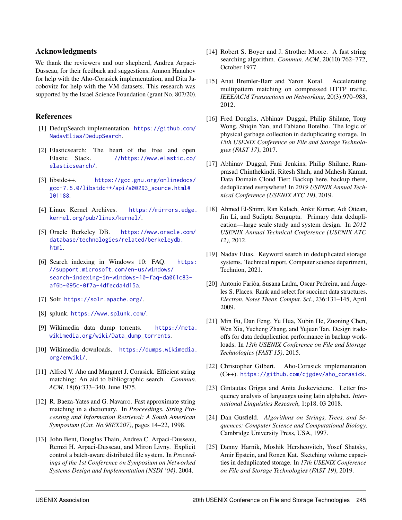## Acknowledgments

We thank the reviewers and our shepherd, Andrea Arpaci-Dusseau, for their feedback and suggestions, Amnon Hanuhov for help with the Aho-Corasick implementation, and Dita Jacobovitz for help with the VM datasets. This research was supported by the Israel Science Foundation (grant No. 807/20).

## <span id="page-13-10"></span>References

- [1] DedupSearch implementation. [https://github.com/](https://github.com/NadavElias/DedupSearch) [NadavElias/DedupSearch](https://github.com/NadavElias/DedupSearch).
- <span id="page-13-2"></span>[2] Elasticsearch: The heart of the free and open Elastic Stack. [//https://www.elastic.co/](//https://www.elastic.co/elasticsearch/) [elasticsearch/](//https://www.elastic.co/elasticsearch/).
- <span id="page-13-15"></span>[3] libstdc++. [https://gcc.gnu.org/onlinedocs/](https://gcc.gnu.org/onlinedocs/gcc-7.5.0/libstdc++/api/a00293_source.html#l01188) [gcc-7.5.0/libstdc++/api/a00293\\_source.html#](https://gcc.gnu.org/onlinedocs/gcc-7.5.0/libstdc++/api/a00293_source.html#l01188) [l01188](https://gcc.gnu.org/onlinedocs/gcc-7.5.0/libstdc++/api/a00293_source.html#l01188).
- <span id="page-13-13"></span>[4] Linux Kernel Archives. [https://mirrors.edge.](https://mirrors.edge.kernel.org/pub/linux/kernel/) [kernel.org/pub/linux/kernel/](https://mirrors.edge.kernel.org/pub/linux/kernel/).
- <span id="page-13-8"></span>[5] Oracle Berkeley DB. [https://www.oracle.com/](https://www.oracle.com/database/technologies/related/berkeleydb.html) [database/technologies/related/berkeleydb.](https://www.oracle.com/database/technologies/related/berkeleydb.html) [html](https://www.oracle.com/database/technologies/related/berkeleydb.html).
- <span id="page-13-4"></span>[6] Search indexing in Windows 10: FAQ. [https:](https://support.microsoft.com/en-us/windows/search-indexing-in-windows-10-faq-da061c83-af6b-095c-0f7a-4dfecda4d15a) [//support.microsoft.com/en-us/windows/](https://support.microsoft.com/en-us/windows/search-indexing-in-windows-10-faq-da061c83-af6b-095c-0f7a-4dfecda4d15a) [search-indexing-in-windows-10-faq-da061c83](https://support.microsoft.com/en-us/windows/search-indexing-in-windows-10-faq-da061c83-af6b-095c-0f7a-4dfecda4d15a) [af6b-095c-0f7a-4dfecda4d15a](https://support.microsoft.com/en-us/windows/search-indexing-in-windows-10-faq-da061c83-af6b-095c-0f7a-4dfecda4d15a).
- <span id="page-13-23"></span>[7] Solr. <https://solr.apache.org/>.
- <span id="page-13-3"></span>[8] splunk. <https://www.splunk.com/>.
- <span id="page-13-11"></span>[9] Wikimedia data dump torrents. [https://meta.](https://meta.wikimedia.org/wiki/Data_dump_torrents) [wikimedia.org/wiki/Data\\_dump\\_torrents](https://meta.wikimedia.org/wiki/Data_dump_torrents).
- <span id="page-13-12"></span>[10] Wikimedia downloads. [https://dumps.wikimedia.](https://dumps.wikimedia.org/enwiki/) [org/enwiki/](https://dumps.wikimedia.org/enwiki/).
- <span id="page-13-5"></span>[11] Alfred V. Aho and Margaret J. Corasick. Efficient string matching: An aid to bibliographic search. *Commun. ACM*, 18(6):333–340, June 1975.
- <span id="page-13-21"></span>[12] R. Baeza-Yates and G. Navarro. Fast approximate string matching in a dictionary. In *Proceedings. String Processing and Information Retrieval: A South American Symposium (Cat. No.98EX207)*, pages 14–22, 1998.
- <span id="page-13-24"></span>[13] John Bent, Douglas Thain, Andrea C. Arpaci-Dusseau, Remzi H. Arpaci-Dusseau, and Miron Livny. Explicit control a batch-aware distributed file system. In *Proceedings of the 1st Conference on Symposium on Networked Systems Design and Implementation (NSDI '04)*, 2004.
- <span id="page-13-18"></span>[14] Robert S. Boyer and J. Strother Moore. A fast string searching algorithm. *Commun. ACM*, 20(10):762–772, October 1977.
- <span id="page-13-19"></span>[15] Anat Bremler-Barr and Yaron Koral. Accelerating multipattern matching on compressed HTTP traffic. *IEEE/ACM Transactions on Networking*, 20(3):970–983, 2012.
- <span id="page-13-16"></span>[16] Fred Douglis, Abhinav Duggal, Philip Shilane, Tony Wong, Shiqin Yan, and Fabiano Botelho. The logic of physical garbage collection in deduplicating storage. In *15th USENIX Conference on File and Storage Technologies (FAST 17)*, 2017.
- <span id="page-13-17"></span>[17] Abhinav Duggal, Fani Jenkins, Philip Shilane, Ramprasad Chinthekindi, Ritesh Shah, and Mahesh Kamat. Data Domain Cloud Tier: Backup here, backup there, deduplicated everywhere! In *2019 USENIX Annual Technical Conference (USENIX ATC 19)*, 2019.
- <span id="page-13-0"></span>[18] Ahmed El-Shimi, Ran Kalach, Ankit Kumar, Adi Ottean, Jin Li, and Sudipta Sengupta. Primary data deduplication—large scale study and system design. In *2012 USENIX Annual Technical Conference (USENIX ATC 12)*, 2012.
- <span id="page-13-14"></span>[19] Nadav Elias. Keyword search in deduplicated storage systems. Technical report, Computer science department, Technion, 2021.
- <span id="page-13-22"></span>[20] Antonio Fariòa, Susana Ladra, Oscar Pedreira, and Ángeles S. Places. Rank and select for succinct data structures. *Electron. Notes Theor. Comput. Sci.*, 236:131–145, April 2009.
- <span id="page-13-6"></span>[21] Min Fu, Dan Feng, Yu Hua, Xubin He, Zuoning Chen, Wen Xia, Yucheng Zhang, and Yujuan Tan. Design tradeoffs for data deduplication performance in backup workloads. In *13th USENIX Conference on File and Storage Technologies (FAST 15)*, 2015.
- <span id="page-13-9"></span>[22] Christopher Gilbert. Aho-Corasick implementation (C++). [https://github.com/cjgdev/aho\\_corasick](https://github.com/cjgdev/aho_corasick).
- <span id="page-13-7"></span>[23] Gintautas Grigas and Anita Juskeviciene. Letter frequency analysis of languages using latin alphabet. *International Linguistics Research*, 1:p18, 03 2018.
- <span id="page-13-20"></span>[24] Dan Gusfield. *Algorithms on Strings, Trees, and Sequences: Computer Science and Computational Biology*. Cambridge University Press, USA, 1997.
- <span id="page-13-1"></span>[25] Danny Harnik, Moshik Hershcovitch, Yosef Shatsky, Amir Epstein, and Ronen Kat. Sketching volume capacities in deduplicated storage. In *17th USENIX Conference on File and Storage Technologies (FAST 19)*, 2019.